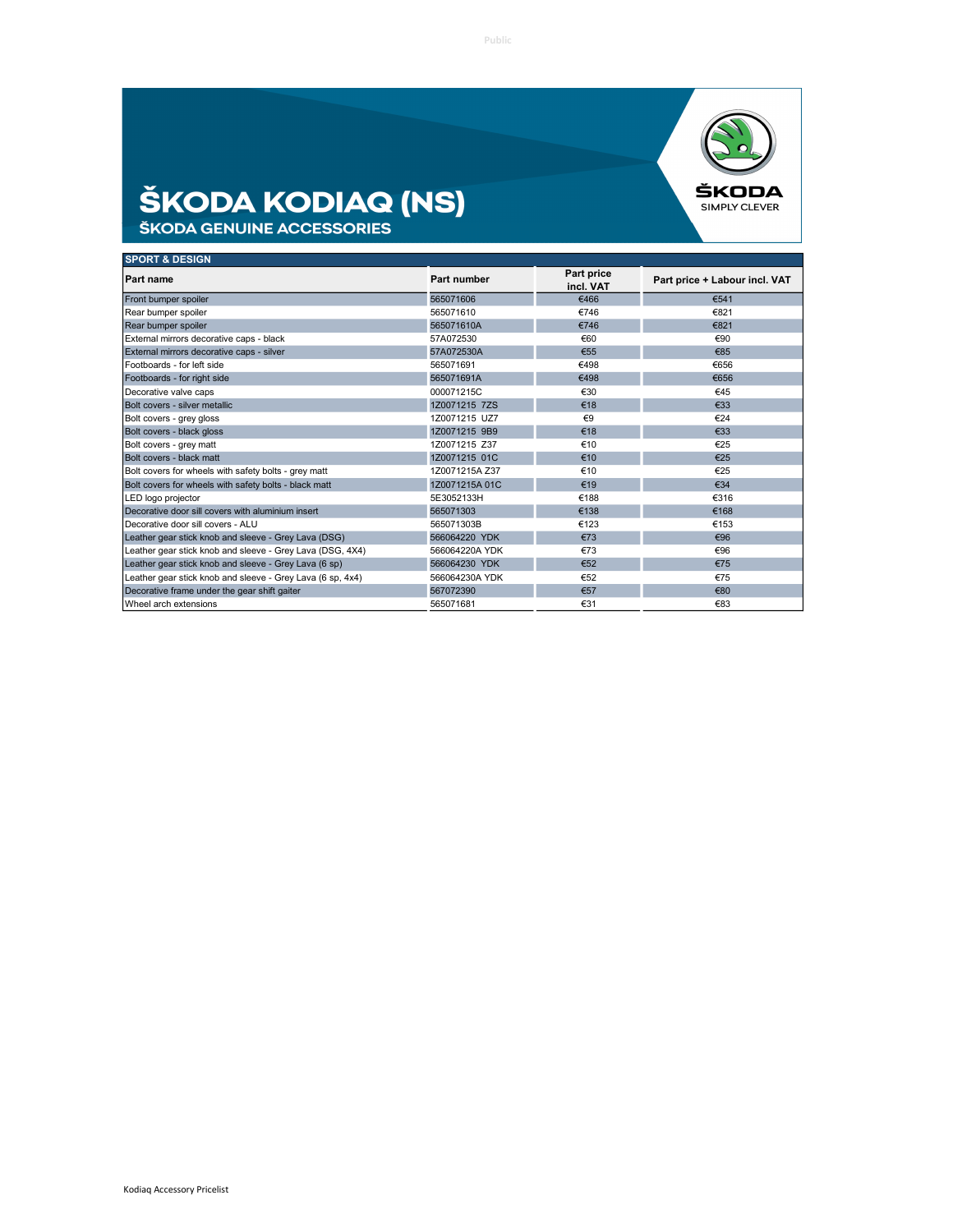

## **ŠKODA KODIAQ (NS)**<br>ŠKODA GENUINE ACCESSORIES

| <b>SPORT &amp; DESIGN</b>                                  |                |                         |                               |
|------------------------------------------------------------|----------------|-------------------------|-------------------------------|
| <b>Part name</b>                                           | Part number    | Part price<br>incl. VAT | Part price + Labour incl. VAT |
| Front bumper spoiler                                       | 565071606      | €466                    | €541                          |
| Rear bumper spoiler                                        | 565071610      | €746                    | €821                          |
| Rear bumper spoiler                                        | 565071610A     | €746                    | €821                          |
| External mirrors decorative caps - black                   | 57A072530      | €60                     | €90                           |
| External mirrors decorative caps - silver                  | 57A072530A     | €55                     | €85                           |
| Footboards - for left side                                 | 565071691      | €498                    | €656                          |
| Footboards - for right side                                | 565071691A     | €498                    | €656                          |
| Decorative valve caps                                      | 000071215C     | €30                     | €45                           |
| Bolt covers - silver metallic                              | 1Z0071215 7ZS  | €18                     | €33                           |
| Bolt covers - grey gloss                                   | 1Z0071215 UZ7  | €9                      | €24                           |
| Bolt covers - black gloss                                  | 1Z0071215 9B9  | €18                     | €33                           |
| Bolt covers - grey matt                                    | 1Z0071215 Z37  | €10                     | €25                           |
| Bolt covers - black matt                                   | 1Z0071215 01C  | €10                     | €25                           |
| Bolt covers for wheels with safety bolts - grey matt       | 1Z0071215A Z37 | €10                     | €25                           |
| Bolt covers for wheels with safety bolts - black matt      | 1Z0071215A 01C | €19                     | €34                           |
| LED logo projector                                         | 5E3052133H     | €188                    | €316                          |
| Decorative door sill covers with aluminium insert          | 565071303      | €138                    | €168                          |
| Decorative door sill covers - ALU                          | 565071303B     | €123                    | €153                          |
| Leather gear stick knob and sleeve - Grey Lava (DSG)       | 566064220 YDK  | €73                     | €96                           |
| Leather gear stick knob and sleeve - Grey Lava (DSG, 4X4)  | 566064220A YDK | €73                     | €96                           |
| Leather gear stick knob and sleeve - Grey Lava (6 sp)      | 566064230 YDK  | €52                     | €75                           |
| Leather gear stick knob and sleeve - Grey Lava (6 sp, 4x4) | 566064230A YDK | €52                     | €75                           |
| Decorative frame under the gear shift gaiter               | 567072390      | €57                     | €80                           |
| Wheel arch extensions                                      | 565071681      | €31                     | €83                           |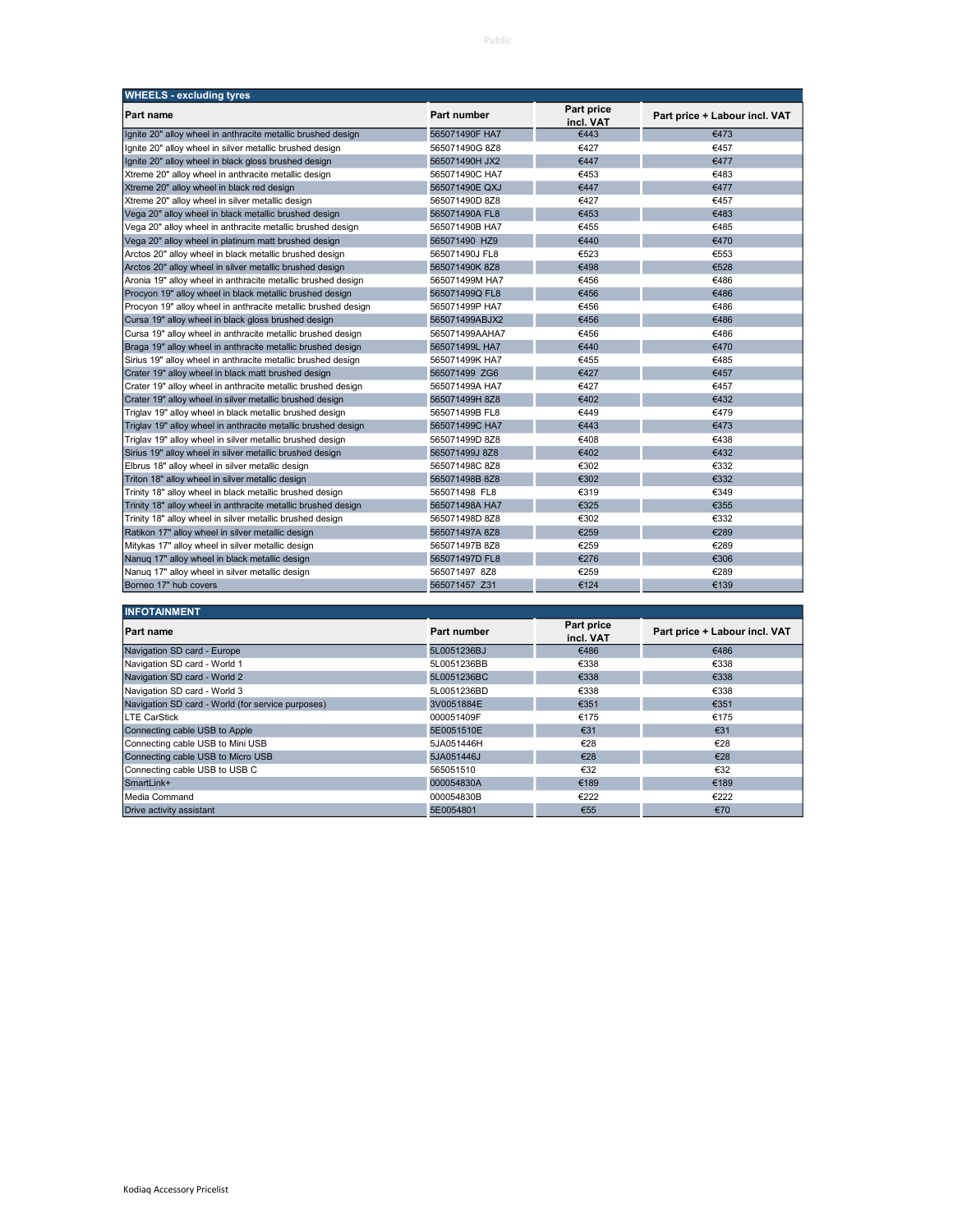| <b>WHEELS - excluding tyres</b>                               |                    |                         |                               |
|---------------------------------------------------------------|--------------------|-------------------------|-------------------------------|
| Part name                                                     | <b>Part number</b> | Part price<br>incl. VAT | Part price + Labour incl. VAT |
| Ignite 20" alloy wheel in anthracite metallic brushed design  | 565071490F HA7     | €443                    | €473                          |
| Ignite 20" alloy wheel in silver metallic brushed design      | 565071490G 8Z8     | €427                    | €457                          |
| Ignite 20" alloy wheel in black gloss brushed design          | 565071490H JX2     | €447                    | €477                          |
| Xtreme 20" alloy wheel in anthracite metallic design          | 565071490C HA7     | €453                    | €483                          |
| Xtreme 20" alloy wheel in black red design                    | 565071490E QXJ     | €447                    | €477                          |
| Xtreme 20" alloy wheel in silver metallic design              | 565071490D 8Z8     | €427                    | €457                          |
| Vega 20" alloy wheel in black metallic brushed design         | 565071490A FL8     | €453                    | €483                          |
| Vega 20" alloy wheel in anthracite metallic brushed design    | 565071490B HA7     | €455                    | €485                          |
| Vega 20" alloy wheel in platinum matt brushed design          | 565071490 HZ9      | €440                    | €470                          |
| Arctos 20" alloy wheel in black metallic brushed design       | 565071490J FL8     | €523                    | €553                          |
| Arctos 20" alloy wheel in silver metallic brushed design      | 565071490K 8Z8     | €498                    | €528                          |
| Aronia 19" alloy wheel in anthracite metallic brushed design  | 565071499M HA7     | €456                    | €486                          |
| Procyon 19" alloy wheel in black metallic brushed design      | 565071499Q FL8     | €456                    | €486                          |
| Procyon 19" alloy wheel in anthracite metallic brushed design | 565071499P HA7     | €456                    | €486                          |
| Cursa 19" alloy wheel in black gloss brushed design           | 565071499ABJX2     | €456                    | €486                          |
| Cursa 19" alloy wheel in anthracite metallic brushed design   | 565071499AAHA7     | €456                    | €486                          |
| Braga 19" alloy wheel in anthracite metallic brushed design   | 565071499L HA7     | €440                    | €470                          |
| Sirius 19" alloy wheel in anthracite metallic brushed design  | 565071499K HA7     | €455                    | €485                          |
| Crater 19" alloy wheel in black matt brushed design           | 565071499 ZG6      | €427                    | €457                          |
| Crater 19" alloy wheel in anthracite metallic brushed design  | 565071499A HA7     | €427                    | €457                          |
| Crater 19" alloy wheel in silver metallic brushed design      | 565071499H 8Z8     | €402                    | €432                          |
| Triglav 19" alloy wheel in black metallic brushed design      | 565071499B FL8     | €449                    | €479                          |
| Triglav 19" alloy wheel in anthracite metallic brushed design | 565071499C HA7     | €443                    | €473                          |
| Triglav 19" alloy wheel in silver metallic brushed design     | 565071499D 8Z8     | €408                    | €438                          |
| Sirius 19" alloy wheel in silver metallic brushed design      | 565071499J 8Z8     | €402                    | €432                          |
| Elbrus 18" alloy wheel in silver metallic design              | 565071498C 8Z8     | €302                    | €332                          |
| Triton 18" alloy wheel in silver metallic design              | 565071498B 8Z8     | €302                    | €332                          |
| Trinity 18" alloy wheel in black metallic brushed design      | 565071498 FL8      | €319                    | €349                          |
| Trinity 18" alloy wheel in anthracite metallic brushed design | 565071498A HA7     | €325                    | €355                          |
| Trinity 18" alloy wheel in silver metallic brushed design     | 565071498D 8Z8     | €302                    | €332                          |
| Ratikon 17" alloy wheel in silver metallic design             | 565071497A 8Z8     | €259                    | €289                          |
| Mitykas 17" alloy wheel in silver metallic design             | 565071497B 8Z8     | €259                    | €289                          |
| Nanuq 17" alloy wheel in black metallic design                | 565071497D FL8     | €276                    | €306                          |
| Nanuq 17" alloy wheel in silver metallic design               | 565071497 8Z8      | €259                    | €289                          |
| Borneo 17" hub covers                                         | 565071457 Z31      | €124                    | €139                          |
|                                                               |                    |                         |                               |
| <b>INFOTAINMENT</b>                                           |                    |                         |                               |
| Part name                                                     | <b>Part number</b> | Part price              | Part price + Labour incl. VAT |
|                                                               |                    | incl. VAT               |                               |
| Navigation SD card - Europe                                   | 5L0051236BJ        | €486                    | €486                          |
| Navigation SD card - World 1                                  | 5L0051236BB        | €338                    | €338                          |
| Navigation SD card - World 2                                  | 5L0051236BC        | €338                    | €338                          |
| Navigation SD card - World 3                                  | 5L0051236BD        | €338                    | €338                          |
| Navigation SD card - World (for service purposes)             | 3V0051884E         | €351                    | €351                          |
| <b>LTE CarStick</b>                                           | 000051409F         | €175                    | €175                          |
| Connecting cable USB to Apple                                 | 5E0051510E         | €31                     | €31                           |
| Connecting cable USB to Mini USB                              | 5JA051446H         | €28                     | €28                           |
| Connecting cable USB to Micro USB                             | 5JA051446J         | €28                     | €28                           |
| Connecting cable USB to USB C                                 | 565051510          | €32                     | €32                           |
| SmartLink+                                                    | 000054830A         | €189                    | €189                          |
| Media Command                                                 | 000054830B         | €222                    | €222                          |

Drive activity assistant  $\epsilon$ 70  $\epsilon$ 70  $\epsilon$ 70  $\epsilon$ 70  $\epsilon$ 70  $\epsilon$ 70  $\epsilon$ 70  $\epsilon$ 70  $\epsilon$ 70  $\epsilon$ 70  $\epsilon$ 70  $\epsilon$ 70  $\epsilon$ 70  $\epsilon$ 70  $\epsilon$ 70  $\epsilon$ 70  $\epsilon$ 70  $\epsilon$ 70  $\epsilon$ 70  $\epsilon$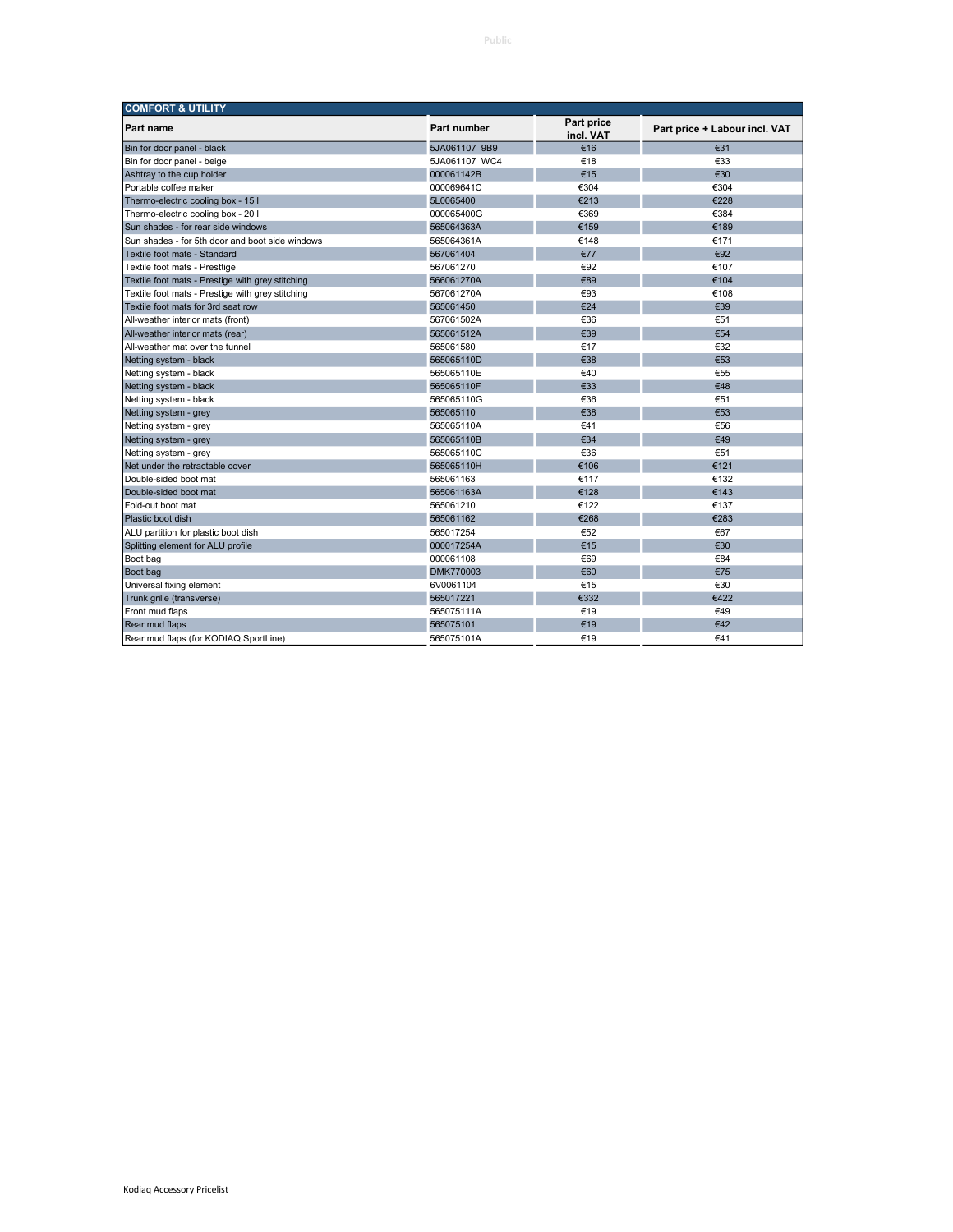| <b>COMFORT &amp; UTILITY</b>                     |               |                         |                               |
|--------------------------------------------------|---------------|-------------------------|-------------------------------|
| <b>Part name</b>                                 | Part number   | Part price<br>incl. VAT | Part price + Labour incl. VAT |
| Bin for door panel - black                       | 5JA061107 9B9 | €16                     | €31                           |
| Bin for door panel - beige                       | 5JA061107 WC4 | €18                     | €33                           |
| Ashtray to the cup holder                        | 000061142B    | €15                     | €30                           |
| Portable coffee maker                            | 000069641C    | €304                    | €304                          |
| Thermo-electric cooling box - 15 I               | 5L0065400     | €213                    | €228                          |
| Thermo-electric cooling box - 20 I               | 000065400G    | €369                    | €384                          |
| Sun shades - for rear side windows               | 565064363A    | €159                    | €189                          |
| Sun shades - for 5th door and boot side windows  | 565064361A    | €148                    | €171                          |
| Textile foot mats - Standard                     | 567061404     | €77                     | €92                           |
| Textile foot mats - Presttige                    | 567061270     | €92                     | €107                          |
| Textile foot mats - Prestige with grey stitching | 566061270A    | €89                     | €104                          |
| Textile foot mats - Prestige with grey stitching | 567061270A    | €93                     | €108                          |
| Textile foot mats for 3rd seat row               | 565061450     | €24                     | €39                           |
| All-weather interior mats (front)                | 567061502A    | €36                     | €51                           |
| All-weather interior mats (rear)                 | 565061512A    | €39                     | €54                           |
| All-weather mat over the tunnel                  | 565061580     | €17                     | €32                           |
| Netting system - black                           | 565065110D    | €38                     | €53                           |
| Netting system - black                           | 565065110E    | €40                     | €55                           |
| Netting system - black                           | 565065110F    | €33                     | €48                           |
| Netting system - black                           | 565065110G    | €36                     | €51                           |
| Netting system - grey                            | 565065110     | €38                     | €53                           |
| Netting system - grey                            | 565065110A    | €41                     | €56                           |
| Netting system - grey                            | 565065110B    | €34                     | €49                           |
| Netting system - grey                            | 565065110C    | €36                     | €51                           |
| Net under the retractable cover                  | 565065110H    | €106                    | €121                          |
| Double-sided boot mat                            | 565061163     | €117                    | €132                          |
| Double-sided boot mat                            | 565061163A    | €128                    | €143                          |
| Fold-out boot mat                                | 565061210     | €122                    | €137                          |
| Plastic boot dish                                | 565061162     | €268                    | €283                          |
| ALU partition for plastic boot dish              | 565017254     | €52                     | €67                           |
| Splitting element for ALU profile                | 000017254A    | €15                     | €30                           |
| Boot bag                                         | 000061108     | €69                     | €84                           |
| Boot bag                                         | DMK770003     | €60                     | €75                           |
| Universal fixing element                         | 6V0061104     | €15                     | €30                           |
| Trunk grille (transverse)                        | 565017221     | €332                    | €422                          |
| Front mud flaps                                  | 565075111A    | €19                     | €49                           |
| Rear mud flaps                                   | 565075101     | €19                     | €42                           |
| Rear mud flaps (for KODIAQ SportLine)            | 565075101A    | €19                     | €41                           |